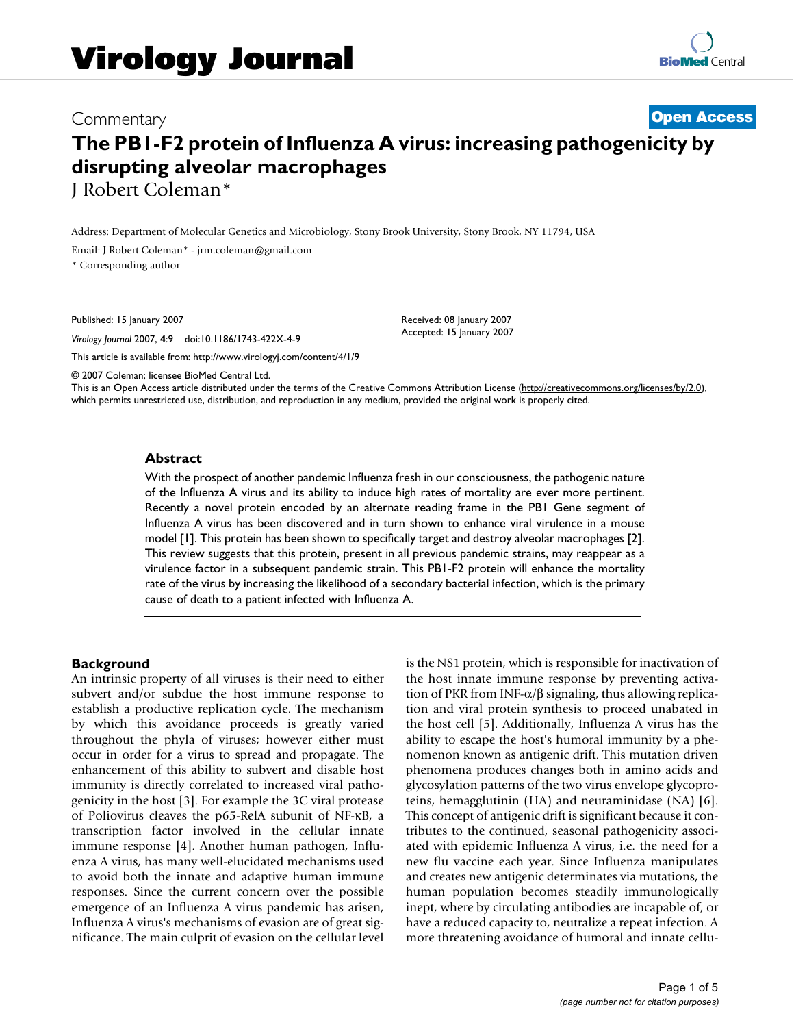# Commentary **[Open Access](http://www.biomedcentral.com/info/about/charter/) The PB1-F2 protein of Influenza A virus: increasing pathogenicity by disrupting alveolar macrophages** J Robert Coleman\*

Address: Department of Molecular Genetics and Microbiology, Stony Brook University, Stony Brook, NY 11794, USA

Email: J Robert Coleman\* - jrm.coleman@gmail.com

\* Corresponding author

Published: 15 January 2007

*Virology Journal* 2007, **4**:9 doi:10.1186/1743-422X-4-9

[This article is available from: http://www.virologyj.com/content/4/1/9](http://www.virologyj.com/content/4/1/9)

© 2007 Coleman; licensee BioMed Central Ltd.

This is an Open Access article distributed under the terms of the Creative Commons Attribution License [\(http://creativecommons.org/licenses/by/2.0\)](http://creativecommons.org/licenses/by/2.0), which permits unrestricted use, distribution, and reproduction in any medium, provided the original work is properly cited.

Received: 08 January 2007 Accepted: 15 January 2007

#### **Abstract**

With the prospect of another pandemic Influenza fresh in our consciousness, the pathogenic nature of the Influenza A virus and its ability to induce high rates of mortality are ever more pertinent. Recently a novel protein encoded by an alternate reading frame in the PB1 Gene segment of Influenza A virus has been discovered and in turn shown to enhance viral virulence in a mouse model [1]. This protein has been shown to specifically target and destroy alveolar macrophages [2]. This review suggests that this protein, present in all previous pandemic strains, may reappear as a virulence factor in a subsequent pandemic strain. This PB1-F2 protein will enhance the mortality rate of the virus by increasing the likelihood of a secondary bacterial infection, which is the primary cause of death to a patient infected with Influenza A.

## **Background**

An intrinsic property of all viruses is their need to either subvert and/or subdue the host immune response to establish a productive replication cycle. The mechanism by which this avoidance proceeds is greatly varied throughout the phyla of viruses; however either must occur in order for a virus to spread and propagate. The enhancement of this ability to subvert and disable host immunity is directly correlated to increased viral pathogenicity in the host [3]. For example the 3C viral protease of Poliovirus cleaves the p65-RelA subunit of NF-κB, a transcription factor involved in the cellular innate immune response [4]. Another human pathogen, Influenza A virus, has many well-elucidated mechanisms used to avoid both the innate and adaptive human immune responses. Since the current concern over the possible emergence of an Influenza A virus pandemic has arisen, Influenza A virus's mechanisms of evasion are of great significance. The main culprit of evasion on the cellular level is the NS1 protein, which is responsible for inactivation of the host innate immune response by preventing activation of PKR from INF- $\alpha/\beta$  signaling, thus allowing replication and viral protein synthesis to proceed unabated in the host cell [5]. Additionally, Influenza A virus has the ability to escape the host's humoral immunity by a phenomenon known as antigenic drift. This mutation driven phenomena produces changes both in amino acids and glycosylation patterns of the two virus envelope glycoproteins, hemagglutinin (HA) and neuraminidase (NA) [6]. This concept of antigenic drift is significant because it contributes to the continued, seasonal pathogenicity associated with epidemic Influenza A virus, i.e. the need for a new flu vaccine each year. Since Influenza manipulates and creates new antigenic determinates via mutations, the human population becomes steadily immunologically inept, where by circulating antibodies are incapable of, or have a reduced capacity to, neutralize a repeat infection. A more threatening avoidance of humoral and innate cellu-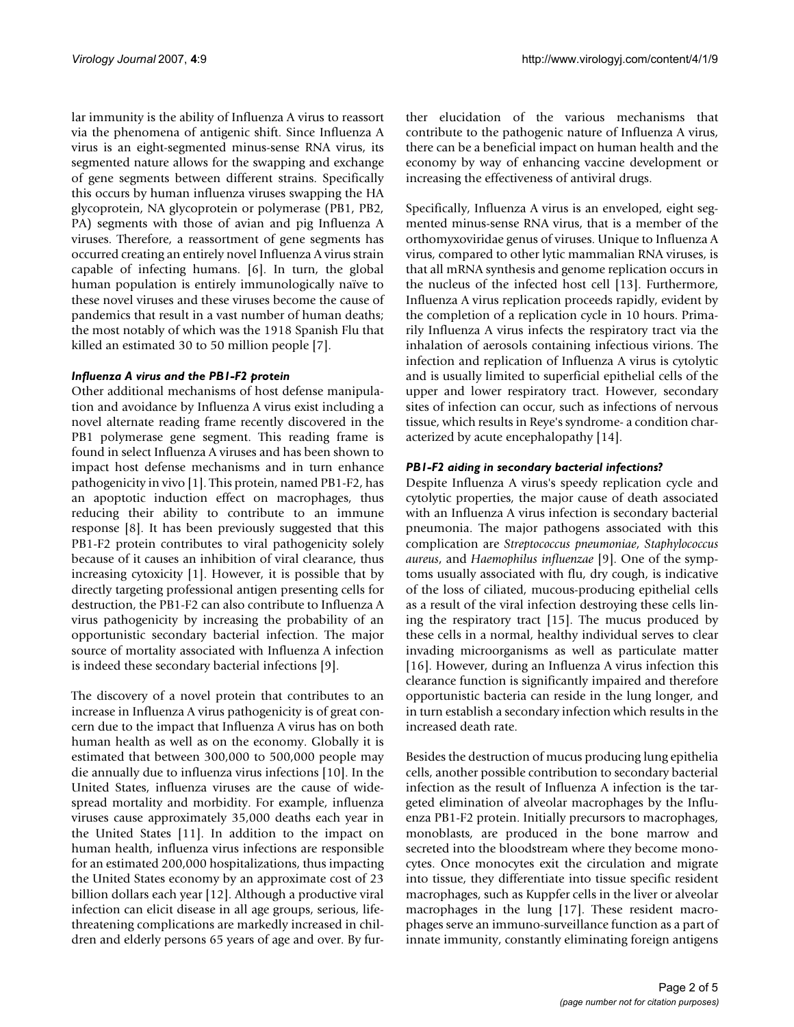lar immunity is the ability of Influenza A virus to reassort via the phenomena of antigenic shift. Since Influenza A virus is an eight-segmented minus-sense RNA virus, its segmented nature allows for the swapping and exchange of gene segments between different strains. Specifically this occurs by human influenza viruses swapping the HA glycoprotein, NA glycoprotein or polymerase (PB1, PB2, PA) segments with those of avian and pig Influenza A viruses. Therefore, a reassortment of gene segments has occurred creating an entirely novel Influenza A virus strain capable of infecting humans. [6]. In turn, the global human population is entirely immunologically naïve to these novel viruses and these viruses become the cause of pandemics that result in a vast number of human deaths; the most notably of which was the 1918 Spanish Flu that killed an estimated 30 to 50 million people [7].

## *Influenza A virus and the PB1-F2 protein*

Other additional mechanisms of host defense manipulation and avoidance by Influenza A virus exist including a novel alternate reading frame recently discovered in the PB1 polymerase gene segment. This reading frame is found in select Influenza A viruses and has been shown to impact host defense mechanisms and in turn enhance pathogenicity in vivo [1]. This protein, named PB1-F2, has an apoptotic induction effect on macrophages, thus reducing their ability to contribute to an immune response [8]. It has been previously suggested that this PB1-F2 protein contributes to viral pathogenicity solely because of it causes an inhibition of viral clearance, thus increasing cytoxicity [1]. However, it is possible that by directly targeting professional antigen presenting cells for destruction, the PB1-F2 can also contribute to Influenza A virus pathogenicity by increasing the probability of an opportunistic secondary bacterial infection. The major source of mortality associated with Influenza A infection is indeed these secondary bacterial infections [9].

The discovery of a novel protein that contributes to an increase in Influenza A virus pathogenicity is of great concern due to the impact that Influenza A virus has on both human health as well as on the economy. Globally it is estimated that between 300,000 to 500,000 people may die annually due to influenza virus infections [10]. In the United States, influenza viruses are the cause of widespread mortality and morbidity. For example, influenza viruses cause approximately 35,000 deaths each year in the United States [11]. In addition to the impact on human health, influenza virus infections are responsible for an estimated 200,000 hospitalizations, thus impacting the United States economy by an approximate cost of 23 billion dollars each year [12]. Although a productive viral infection can elicit disease in all age groups, serious, lifethreatening complications are markedly increased in children and elderly persons 65 years of age and over. By further elucidation of the various mechanisms that contribute to the pathogenic nature of Influenza A virus, there can be a beneficial impact on human health and the economy by way of enhancing vaccine development or increasing the effectiveness of antiviral drugs.

Specifically, Influenza A virus is an enveloped, eight segmented minus-sense RNA virus, that is a member of the orthomyxoviridae genus of viruses. Unique to Influenza A virus, compared to other lytic mammalian RNA viruses, is that all mRNA synthesis and genome replication occurs in the nucleus of the infected host cell [13]. Furthermore, Influenza A virus replication proceeds rapidly, evident by the completion of a replication cycle in 10 hours. Primarily Influenza A virus infects the respiratory tract via the inhalation of aerosols containing infectious virions. The infection and replication of Influenza A virus is cytolytic and is usually limited to superficial epithelial cells of the upper and lower respiratory tract. However, secondary sites of infection can occur, such as infections of nervous tissue, which results in Reye's syndrome- a condition characterized by acute encephalopathy [14].

# *PB1-F2 aiding in secondary bacterial infections?*

Despite Influenza A virus's speedy replication cycle and cytolytic properties, the major cause of death associated with an Influenza A virus infection is secondary bacterial pneumonia. The major pathogens associated with this complication are *Streptococcus pneumoniae*, *Staphylococcus aureus*, and *Haemophilus influenzae* [9]. One of the symptoms usually associated with flu, dry cough, is indicative of the loss of ciliated, mucous-producing epithelial cells as a result of the viral infection destroying these cells lining the respiratory tract [15]. The mucus produced by these cells in a normal, healthy individual serves to clear invading microorganisms as well as particulate matter [16]. However, during an Influenza A virus infection this clearance function is significantly impaired and therefore opportunistic bacteria can reside in the lung longer, and in turn establish a secondary infection which results in the increased death rate.

Besides the destruction of mucus producing lung epithelia cells, another possible contribution to secondary bacterial infection as the result of Influenza A infection is the targeted elimination of alveolar macrophages by the Influenza PB1-F2 protein. Initially precursors to macrophages, monoblasts, are produced in the bone marrow and secreted into the bloodstream where they become monocytes. Once monocytes exit the circulation and migrate into tissue, they differentiate into tissue specific resident macrophages, such as Kuppfer cells in the liver or alveolar macrophages in the lung [17]. These resident macrophages serve an immuno-surveillance function as a part of innate immunity, constantly eliminating foreign antigens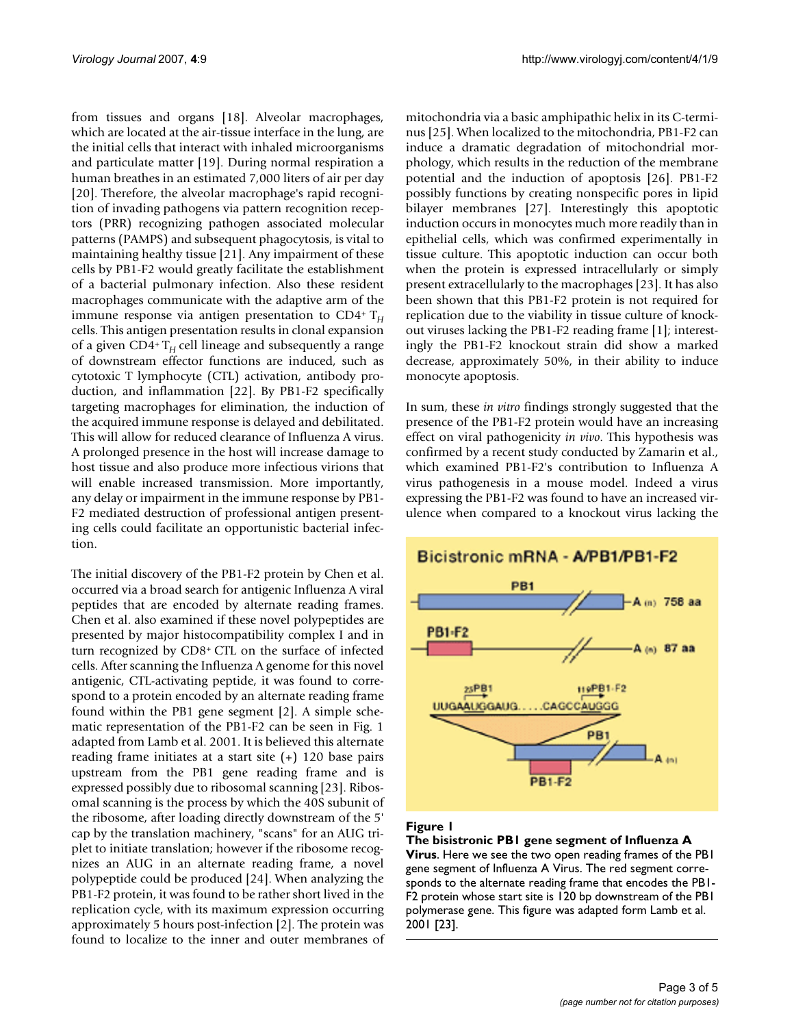from tissues and organs [18]. Alveolar macrophages, which are located at the air-tissue interface in the lung, are the initial cells that interact with inhaled microorganisms and particulate matter [19]. During normal respiration a human breathes in an estimated 7,000 liters of air per day [20]. Therefore, the alveolar macrophage's rapid recognition of invading pathogens via pattern recognition receptors (PRR) recognizing pathogen associated molecular patterns (PAMPS) and subsequent phagocytosis, is vital to maintaining healthy tissue [21]. Any impairment of these cells by PB1-F2 would greatly facilitate the establishment of a bacterial pulmonary infection. Also these resident macrophages communicate with the adaptive arm of the immune response via antigen presentation to CD4<sup>+</sup> T<sub>H</sub> cells. This antigen presentation results in clonal expansion of a given CD4+ T*H* cell lineage and subsequently a range of downstream effector functions are induced, such as cytotoxic T lymphocyte (CTL) activation, antibody production, and inflammation [22]. By PB1-F2 specifically targeting macrophages for elimination, the induction of the acquired immune response is delayed and debilitated. This will allow for reduced clearance of Influenza A virus. A prolonged presence in the host will increase damage to host tissue and also produce more infectious virions that will enable increased transmission. More importantly, any delay or impairment in the immune response by PB1- F2 mediated destruction of professional antigen presenting cells could facilitate an opportunistic bacterial infection.

The initial discovery of the PB1-F2 protein by Chen et al. occurred via a broad search for antigenic Influenza A viral peptides that are encoded by alternate reading frames. Chen et al. also examined if these novel polypeptides are presented by major histocompatibility complex I and in turn recognized by CD8+ CTL on the surface of infected cells. After scanning the Influenza A genome for this novel antigenic, CTL-activating peptide, it was found to correspond to a protein encoded by an alternate reading frame found within the PB1 gene segment [2]. A simple schematic representation of the PB1-F2 can be seen in Fig. 1 adapted from Lamb et al. 2001. It is believed this alternate reading frame initiates at a start site (+) 120 base pairs upstream from the PB1 gene reading frame and is expressed possibly due to ribosomal scanning [23]. Ribosomal scanning is the process by which the 40S subunit of the ribosome, after loading directly downstream of the 5' cap by the translation machinery, "scans" for an AUG triplet to initiate translation; however if the ribosome recognizes an AUG in an alternate reading frame, a novel polypeptide could be produced [24]. When analyzing the PB1-F2 protein, it was found to be rather short lived in the replication cycle, with its maximum expression occurring approximately 5 hours post-infection [2]. The protein was found to localize to the inner and outer membranes of mitochondria via a basic amphipathic helix in its C-terminus [25]. When localized to the mitochondria, PB1-F2 can induce a dramatic degradation of mitochondrial morphology, which results in the reduction of the membrane potential and the induction of apoptosis [26]. PB1-F2 possibly functions by creating nonspecific pores in lipid bilayer membranes [27]. Interestingly this apoptotic induction occurs in monocytes much more readily than in epithelial cells, which was confirmed experimentally in tissue culture. This apoptotic induction can occur both when the protein is expressed intracellularly or simply present extracellularly to the macrophages [23]. It has also been shown that this PB1-F2 protein is not required for replication due to the viability in tissue culture of knockout viruses lacking the PB1-F2 reading frame [1]; interestingly the PB1-F2 knockout strain did show a marked decrease, approximately 50%, in their ability to induce monocyte apoptosis.

In sum, these *in vitro* findings strongly suggested that the presence of the PB1-F2 protein would have an increasing effect on viral pathogenicity *in vivo*. This hypothesis was confirmed by a recent study conducted by Zamarin et al., which examined PB1-F2's contribution to Influenza A virus pathogenesis in a mouse model. Indeed a virus expressing the PB1-F2 was found to have an increased virulence when compared to a knockout virus lacking the



## Figure 1

**The bisistronic PB1 gene segment of Influenza A Virus**. Here we see the two open reading frames of the PB1 gene segment of Influenza A Virus. The red segment corresponds to the alternate reading frame that encodes the PB1- F2 protein whose start site is 120 bp downstream of the PB1 polymerase gene. This figure was adapted form Lamb et al. 2001 [23].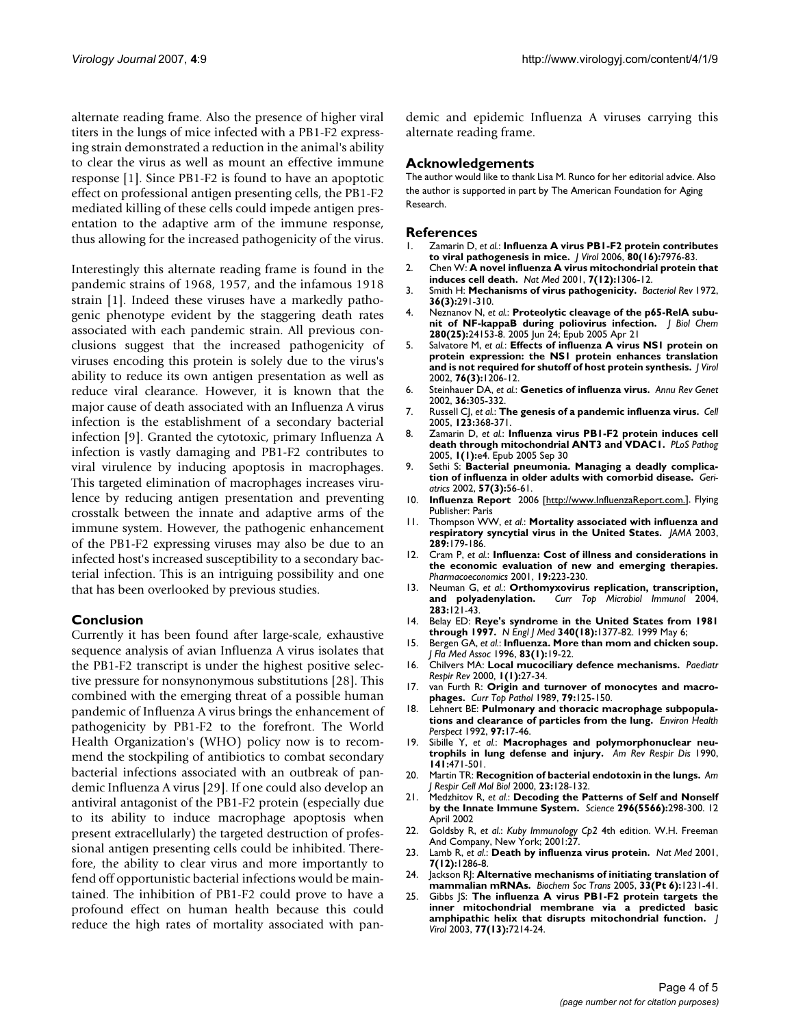alternate reading frame. Also the presence of higher viral titers in the lungs of mice infected with a PB1-F2 expressing strain demonstrated a reduction in the animal's ability to clear the virus as well as mount an effective immune response [1]. Since PB1-F2 is found to have an apoptotic effect on professional antigen presenting cells, the PB1-F2 mediated killing of these cells could impede antigen presentation to the adaptive arm of the immune response, thus allowing for the increased pathogenicity of the virus.

Interestingly this alternate reading frame is found in the pandemic strains of 1968, 1957, and the infamous 1918 strain [1]. Indeed these viruses have a markedly pathogenic phenotype evident by the staggering death rates associated with each pandemic strain. All previous conclusions suggest that the increased pathogenicity of viruses encoding this protein is solely due to the virus's ability to reduce its own antigen presentation as well as reduce viral clearance. However, it is known that the major cause of death associated with an Influenza A virus infection is the establishment of a secondary bacterial infection [9]. Granted the cytotoxic, primary Influenza A infection is vastly damaging and PB1-F2 contributes to viral virulence by inducing apoptosis in macrophages. This targeted elimination of macrophages increases virulence by reducing antigen presentation and preventing crosstalk between the innate and adaptive arms of the immune system. However, the pathogenic enhancement of the PB1-F2 expressing viruses may also be due to an infected host's increased susceptibility to a secondary bacterial infection. This is an intriguing possibility and one that has been overlooked by previous studies.

# **Conclusion**

Currently it has been found after large-scale, exhaustive sequence analysis of avian Influenza A virus isolates that the PB1-F2 transcript is under the highest positive selective pressure for nonsynonymous substitutions [28]. This combined with the emerging threat of a possible human pandemic of Influenza A virus brings the enhancement of pathogenicity by PB1-F2 to the forefront. The World Health Organization's (WHO) policy now is to recommend the stockpiling of antibiotics to combat secondary bacterial infections associated with an outbreak of pandemic Influenza A virus [29]. If one could also develop an antiviral antagonist of the PB1-F2 protein (especially due to its ability to induce macrophage apoptosis when present extracellularly) the targeted destruction of professional antigen presenting cells could be inhibited. Therefore, the ability to clear virus and more importantly to fend off opportunistic bacterial infections would be maintained. The inhibition of PB1-F2 could prove to have a profound effect on human health because this could reduce the high rates of mortality associated with pandemic and epidemic Influenza A viruses carrying this alternate reading frame.

## **Acknowledgements**

The author would like to thank Lisa M. Runco for her editorial advice. Also the author is supported in part by The American Foundation for Aging Research.

#### **References**

- 1. Zamarin D, *et al.*: **[Influenza A virus PB1-F2 protein contributes](http://www.ncbi.nlm.nih.gov/entrez/query.fcgi?cmd=Retrieve&db=PubMed&dopt=Abstract&list_uids=16873254) [to viral pathogenesis in mice.](http://www.ncbi.nlm.nih.gov/entrez/query.fcgi?cmd=Retrieve&db=PubMed&dopt=Abstract&list_uids=16873254)** *J Virol* 2006, **80(16):**7976-83.
- 2. Chen W: **[A novel influenza A virus mitochondrial protein that](http://www.ncbi.nlm.nih.gov/entrez/query.fcgi?cmd=Retrieve&db=PubMed&dopt=Abstract&list_uids=11726970) [induces cell death.](http://www.ncbi.nlm.nih.gov/entrez/query.fcgi?cmd=Retrieve&db=PubMed&dopt=Abstract&list_uids=11726970)** *Nat Med* 2001, **7(12):**1306-12.
- 3. Smith H: **[Mechanisms of virus pathogenicity.](http://www.ncbi.nlm.nih.gov/entrez/query.fcgi?cmd=Retrieve&db=PubMed&dopt=Abstract&list_uids=4565236)** *Bacteriol Rev* 1972, **36(3):**291-310.
- 4. Neznanov N, *et al.*: **[Proteolytic cleavage of the p65-RelA subu](http://www.ncbi.nlm.nih.gov/entrez/query.fcgi?cmd=Retrieve&db=PubMed&dopt=Abstract&list_uids=15845545)[nit of NF-kappaB during poliovirus infection.](http://www.ncbi.nlm.nih.gov/entrez/query.fcgi?cmd=Retrieve&db=PubMed&dopt=Abstract&list_uids=15845545)** *J Biol Chem* **280(25):**24153-8. 2005 Jun 24; Epub 2005 Apr 21
- 5. Salvatore M, *et al.*: **[Effects of influenza A virus NS1 protein on](http://www.ncbi.nlm.nih.gov/entrez/query.fcgi?cmd=Retrieve&db=PubMed&dopt=Abstract&list_uids=11773396) [protein expression: the NS1 protein enhances translation](http://www.ncbi.nlm.nih.gov/entrez/query.fcgi?cmd=Retrieve&db=PubMed&dopt=Abstract&list_uids=11773396) [and is not required for shutoff of host protein synthesis.](http://www.ncbi.nlm.nih.gov/entrez/query.fcgi?cmd=Retrieve&db=PubMed&dopt=Abstract&list_uids=11773396)** *J Virol* 2002, **76(3):**1206-12.
- 6. Steinhauer DA, *et al.*: **[Genetics of influenza virus.](http://www.ncbi.nlm.nih.gov/entrez/query.fcgi?cmd=Retrieve&db=PubMed&dopt=Abstract&list_uids=12429695)** *Annu Rev Genet* 2002, **36:**305-332.
- 7. Russell CJ, *et al.*: **[The genesis of a pandemic influenza virus.](http://www.ncbi.nlm.nih.gov/entrez/query.fcgi?cmd=Retrieve&db=PubMed&dopt=Abstract&list_uids=16269328)** *Cell* 2005, **123:**368-371.
- 8. Zamarin D, *et al.*: **[Influenza virus PB1-F2 protein induces cell](http://www.ncbi.nlm.nih.gov/entrez/query.fcgi?cmd=Retrieve&db=PubMed&dopt=Abstract&list_uids=16201016) [death through mitochondrial ANT3 and VDAC1.](http://www.ncbi.nlm.nih.gov/entrez/query.fcgi?cmd=Retrieve&db=PubMed&dopt=Abstract&list_uids=16201016)** *PLoS Pathog* 2005, **1(1):**e4. Epub 2005 Sep 30
- 9. Sethi S: **[Bacterial pneumonia. Managing a deadly complica](http://www.ncbi.nlm.nih.gov/entrez/query.fcgi?cmd=Retrieve&db=PubMed&dopt=Abstract&list_uids=11899549)[tion of influenza in older adults with comorbid disease.](http://www.ncbi.nlm.nih.gov/entrez/query.fcgi?cmd=Retrieve&db=PubMed&dopt=Abstract&list_uids=11899549)** *Geriatrics* 2002, **57(3):**56-61.
- 10. **Influenza Report** 2006 [\[http://www.InfluenzaReport.com.\]](http://www.InfluenzaReport.com.). Flying Publisher: Paris
- 11. Thompson WW, *et al.*: **[Mortality associated with influenza and](http://www.ncbi.nlm.nih.gov/entrez/query.fcgi?cmd=Retrieve&db=PubMed&dopt=Abstract&list_uids=12517228) [respiratory syncytial virus in the United States.](http://www.ncbi.nlm.nih.gov/entrez/query.fcgi?cmd=Retrieve&db=PubMed&dopt=Abstract&list_uids=12517228)** *JAMA* 2003, **289:**179-186.
- 12. Cram P, *et al.*: **[Influenza: Cost of illness and considerations in](http://www.ncbi.nlm.nih.gov/entrez/query.fcgi?cmd=Retrieve&db=PubMed&dopt=Abstract&list_uids=11303411) [the economic evaluation of new and emerging therapies.](http://www.ncbi.nlm.nih.gov/entrez/query.fcgi?cmd=Retrieve&db=PubMed&dopt=Abstract&list_uids=11303411)** *Pharmacoeconomics* 2001, **19:**223-230.
- 13. Neuman G, *et al.*: **[Orthomyxovirus replication, transcription,](http://www.ncbi.nlm.nih.gov/entrez/query.fcgi?cmd=Retrieve&db=PubMed&dopt=Abstract&list_uids=15298169) [and polyadenylation.](http://www.ncbi.nlm.nih.gov/entrez/query.fcgi?cmd=Retrieve&db=PubMed&dopt=Abstract&list_uids=15298169)** *Curr Top Microbiol Immunol* 2004, **283:**121-43.
- 14. Belay ED: **[Reye's syndrome in the United States from 1981](http://www.ncbi.nlm.nih.gov/entrez/query.fcgi?cmd=Retrieve&db=PubMed&dopt=Abstract&list_uids=10228187) [through 1997.](http://www.ncbi.nlm.nih.gov/entrez/query.fcgi?cmd=Retrieve&db=PubMed&dopt=Abstract&list_uids=10228187)** *N Engl J Med* **340(18):**1377-82. 1999 May 6;
- 15. Bergen GA, *et al.*: **[Influenza. More than mom and chicken soup.](http://www.ncbi.nlm.nih.gov/entrez/query.fcgi?cmd=Retrieve&db=PubMed&dopt=Abstract&list_uids=8849975)** *J Fla Med Assoc* 1996, **83(1):**19-22.
- 16. Chilvers MA: **[Local mucociliary defence mechanisms.](http://www.ncbi.nlm.nih.gov/entrez/query.fcgi?cmd=Retrieve&db=PubMed&dopt=Abstract&list_uids=16263440)** *Paediatr Respir Rev* 2000, **1(1):**27-34.
- 17. van Furth R: **[Origin and turnover of monocytes and macro](http://www.ncbi.nlm.nih.gov/entrez/query.fcgi?cmd=Retrieve&db=PubMed&dopt=Abstract&list_uids=2644082)[phages.](http://www.ncbi.nlm.nih.gov/entrez/query.fcgi?cmd=Retrieve&db=PubMed&dopt=Abstract&list_uids=2644082)** *Curr Top Pathol* 1989, **79:**125-150.
- 18. Lehnert BE: **[Pulmonary and thoracic macrophage subpopula](http://www.ncbi.nlm.nih.gov/entrez/query.fcgi?cmd=Retrieve&db=PubMed&dopt=Abstract&list_uids=1396454)[tions and clearance of particles from the lung.](http://www.ncbi.nlm.nih.gov/entrez/query.fcgi?cmd=Retrieve&db=PubMed&dopt=Abstract&list_uids=1396454)** *Environ Health Perspect* 1992, **97:**17-46.
- 19. Sibille Y, *et al.*: **[Macrophages and polymorphonuclear neu](http://www.ncbi.nlm.nih.gov/entrez/query.fcgi?cmd=Retrieve&db=PubMed&dopt=Abstract&list_uids=2405761)[trophils in lung defense and injury.](http://www.ncbi.nlm.nih.gov/entrez/query.fcgi?cmd=Retrieve&db=PubMed&dopt=Abstract&list_uids=2405761)** *Am Rev Respir Dis* 1990, **141:**471-501.
- 20. Martin TR: **[Recognition of bacterial endotoxin in the lungs.](http://www.ncbi.nlm.nih.gov/entrez/query.fcgi?cmd=Retrieve&db=PubMed&dopt=Abstract&list_uids=10919975)** *Am J Respir Cell Mol Biol* 2000, **23:**128-132.
- 21. Medzhitov R, *et al.*: **[Decoding the Patterns of Self and Nonself](http://www.ncbi.nlm.nih.gov/entrez/query.fcgi?cmd=Retrieve&db=PubMed&dopt=Abstract&list_uids=11951031) [by the Innate Immune System.](http://www.ncbi.nlm.nih.gov/entrez/query.fcgi?cmd=Retrieve&db=PubMed&dopt=Abstract&list_uids=11951031)** *Science* **296(5566):**298-300. 12 April 2002
- 22. Goldsby R, *et al.*: *Kuby Immunology Cp2* 4th edition. W.H. Freeman And Company, New York; 2001:27.
- 23. Lamb R, *et al.*: **[Death by influenza virus protein.](http://www.ncbi.nlm.nih.gov/entrez/query.fcgi?cmd=Retrieve&db=PubMed&dopt=Abstract&list_uids=11726965)** *Nat Med* 2001, **7(12):**1286-8.
- 24. Jackson RJ: **[Alternative mechanisms of initiating translation of](http://www.ncbi.nlm.nih.gov/entrez/query.fcgi?cmd=Retrieve&db=PubMed&dopt=Abstract&list_uids=16246087) [mammalian mRNAs.](http://www.ncbi.nlm.nih.gov/entrez/query.fcgi?cmd=Retrieve&db=PubMed&dopt=Abstract&list_uids=16246087)** *Biochem Soc Trans* 2005, **33(Pt 6):**1231-41.
- 25. Gibbs JS: **[The influenza A virus PB1-F2 protein targets the](http://www.ncbi.nlm.nih.gov/entrez/query.fcgi?cmd=Retrieve&db=PubMed&dopt=Abstract&list_uids=12805420) [inner mitochondrial membrane via a predicted basic](http://www.ncbi.nlm.nih.gov/entrez/query.fcgi?cmd=Retrieve&db=PubMed&dopt=Abstract&list_uids=12805420) [amphipathic helix that disrupts mitochondrial function.](http://www.ncbi.nlm.nih.gov/entrez/query.fcgi?cmd=Retrieve&db=PubMed&dopt=Abstract&list_uids=12805420)** *J Virol* 2003, **77(13):**7214-24.